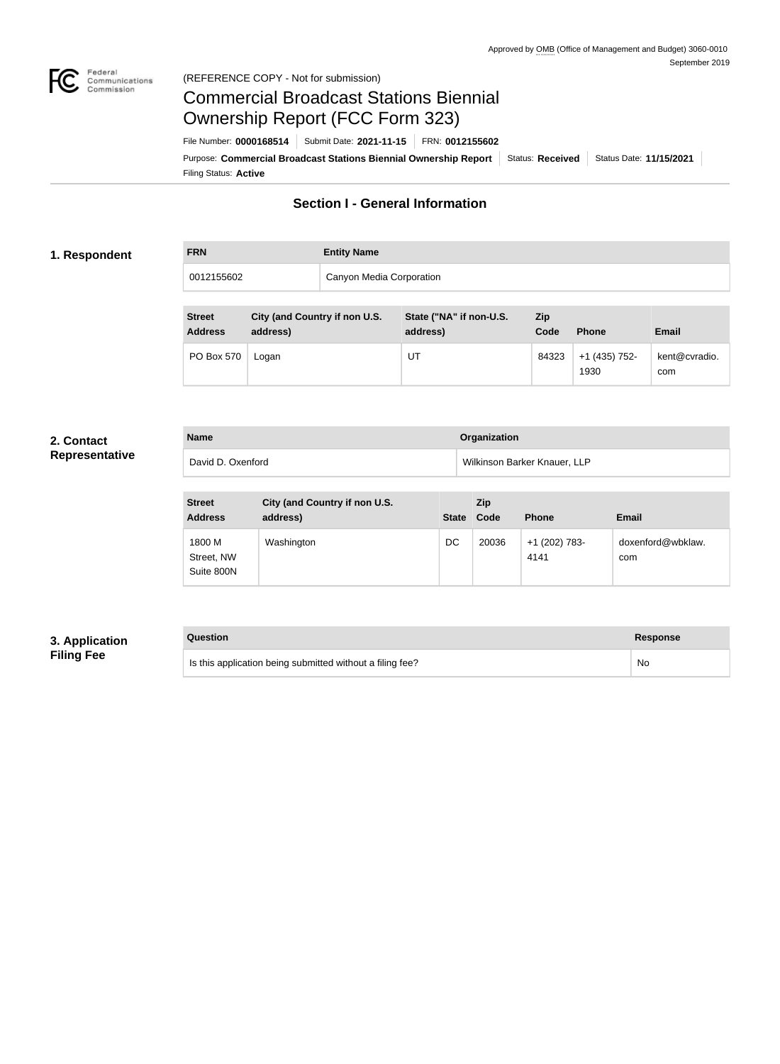

#### Federal<br>Communications<br>Commission (REFERENCE COPY - Not for submission)

# Commercial Broadcast Stations Biennial Ownership Report (FCC Form 323)

Filing Status: **Active** Purpose: Commercial Broadcast Stations Biennial Ownership Report Status: Received Status Date: 11/15/2021 File Number: **0000168514** Submit Date: **2021-11-15** FRN: **0012155602**

# **Section I - General Information**

#### **1. Respondent**

| <b>FRN</b> | <b>Entity Name</b>       |
|------------|--------------------------|
| 0012155602 | Canyon Media Corporation |

| <b>Street</b><br><b>Address</b> | City (and Country if non U.S.<br>address) | State ("NA" if non-U.S.<br>address) | Zip<br>Code | <b>Phone</b>          | <b>Email</b>         |
|---------------------------------|-------------------------------------------|-------------------------------------|-------------|-----------------------|----------------------|
| <b>PO Box 570</b>               | Logan                                     | UT                                  | 84323       | +1 (435) 752-<br>1930 | kent@cvradio.<br>com |

#### **2. Contact Representative**

| <b>Name</b>       | <b>Organization</b>          |
|-------------------|------------------------------|
| David D. Oxenford | Wilkinson Barker Knauer, LLP |

| <b>Street</b><br><b>Address</b>    | City (and Country if non U.S.<br>address) | <b>State</b> | Zip<br>Code | <b>Phone</b>          | <b>Email</b>             |
|------------------------------------|-------------------------------------------|--------------|-------------|-----------------------|--------------------------|
| 1800 M<br>Street, NW<br>Suite 800N | Washington                                | DC           | 20036       | +1 (202) 783-<br>4141 | doxenford@wbklaw.<br>com |

## **3. Application Filing Fee**

#### **Question Response**

Is this application being submitted without a filing fee? No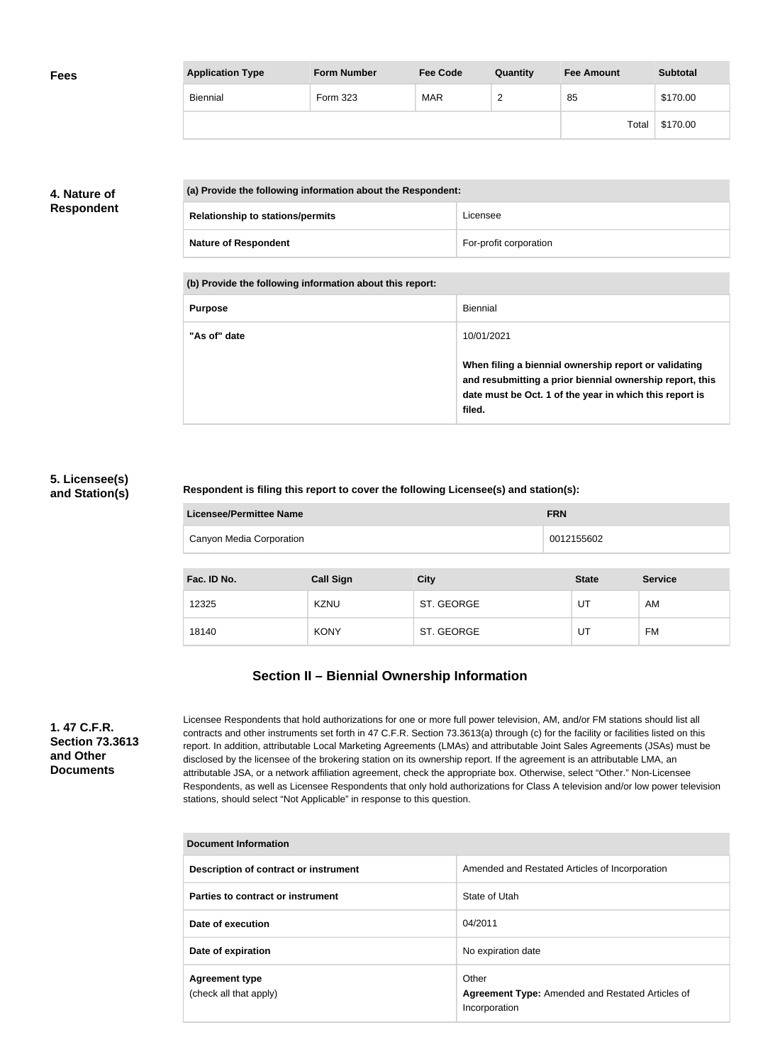| <b>Fees</b> | <b>Application Type</b> | <b>Form Number</b> | <b>Fee Code</b> | Quantity      | <b>Fee Amount</b> | <b>Subtotal</b> |
|-------------|-------------------------|--------------------|-----------------|---------------|-------------------|-----------------|
|             | Biennial                | Form 323           | <b>MAR</b>      | ີ<br><u>_</u> | 85                | \$170.00        |
|             |                         |                    |                 |               | Total             | \$170.00        |

## **4. Nature of Respondent**

| (a) Provide the following information about the Respondent: |                        |  |
|-------------------------------------------------------------|------------------------|--|
| <b>Relationship to stations/permits</b>                     | Licensee               |  |
| <b>Nature of Respondent</b>                                 | For-profit corporation |  |

**(b) Provide the following information about this report:**

| <b>Purpose</b> | Biennial                                                                                                                                                                               |
|----------------|----------------------------------------------------------------------------------------------------------------------------------------------------------------------------------------|
| "As of" date   | 10/01/2021                                                                                                                                                                             |
|                | When filing a biennial ownership report or validating<br>and resubmitting a prior biennial ownership report, this<br>date must be Oct. 1 of the year in which this report is<br>filed. |

#### **5. Licensee(s) and Station(s)**

#### **Respondent is filing this report to cover the following Licensee(s) and station(s):**

| Licensee/Permittee Name  | <b>FRN</b> |
|--------------------------|------------|
| Canyon Media Corporation | 0012155602 |
|                          |            |

| Fac. ID No. | <b>Call Sign</b> | <b>City</b> | <b>State</b> | <b>Service</b> |
|-------------|------------------|-------------|--------------|----------------|
| 12325       | <b>KZNU</b>      | ST. GEORGE  | UT           | AM             |
| 18140       | <b>KONY</b>      | ST. GEORGE  | UT           | FM             |

# **Section II – Biennial Ownership Information**

**1. 47 C.F.R. Section 73.3613 and Other Documents**

Licensee Respondents that hold authorizations for one or more full power television, AM, and/or FM stations should list all contracts and other instruments set forth in 47 C.F.R. Section 73.3613(a) through (c) for the facility or facilities listed on this report. In addition, attributable Local Marketing Agreements (LMAs) and attributable Joint Sales Agreements (JSAs) must be disclosed by the licensee of the brokering station on its ownership report. If the agreement is an attributable LMA, an attributable JSA, or a network affiliation agreement, check the appropriate box. Otherwise, select "Other." Non-Licensee Respondents, as well as Licensee Respondents that only hold authorizations for Class A television and/or low power television stations, should select "Not Applicable" in response to this question.

| <b>Document Information</b>                     |                                                                                   |  |
|-------------------------------------------------|-----------------------------------------------------------------------------------|--|
| Description of contract or instrument           | Amended and Restated Articles of Incorporation                                    |  |
| Parties to contract or instrument               | State of Utah                                                                     |  |
| Date of execution                               | 04/2011                                                                           |  |
| Date of expiration                              | No expiration date                                                                |  |
| <b>Agreement type</b><br>(check all that apply) | Other<br><b>Agreement Type:</b> Amended and Restated Articles of<br>Incorporation |  |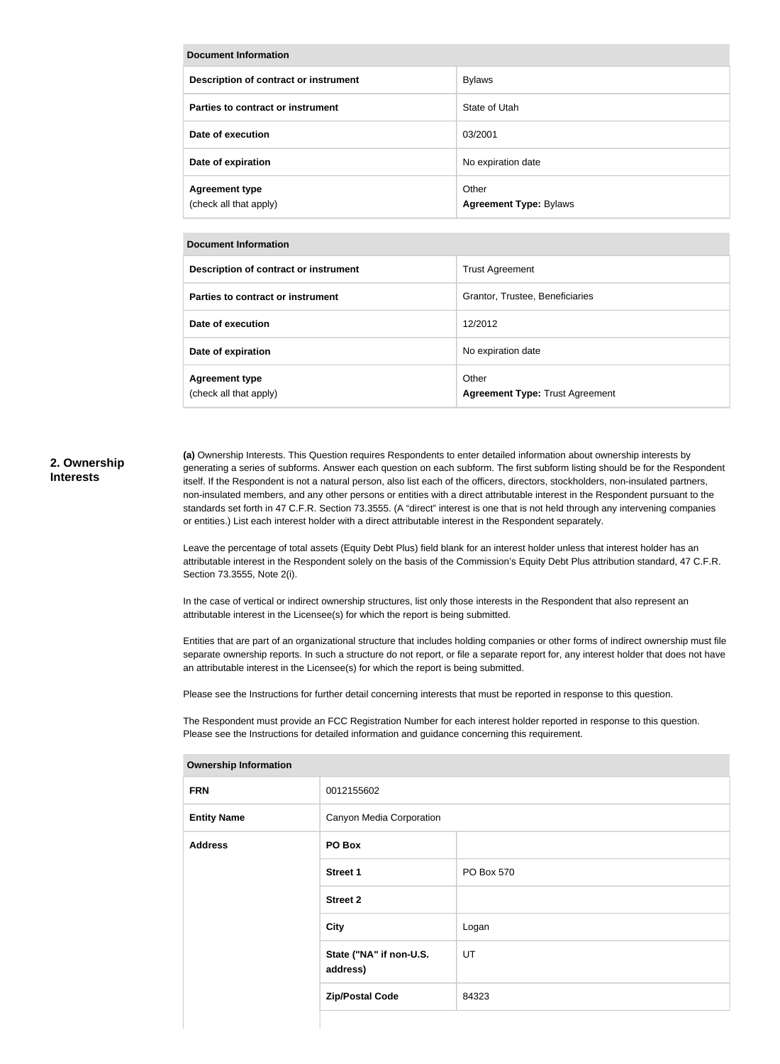| <b>Document Information</b>                     |                                        |  |
|-------------------------------------------------|----------------------------------------|--|
| Description of contract or instrument           | <b>Bylaws</b>                          |  |
| Parties to contract or instrument               | State of Utah                          |  |
| Date of execution                               | 03/2001                                |  |
| Date of expiration                              | No expiration date                     |  |
| <b>Agreement type</b><br>(check all that apply) | Other<br><b>Agreement Type: Bylaws</b> |  |

| <b>Document Information</b>                     |                                                 |  |  |  |
|-------------------------------------------------|-------------------------------------------------|--|--|--|
| Description of contract or instrument           | <b>Trust Agreement</b>                          |  |  |  |
| Parties to contract or instrument               | Grantor, Trustee, Beneficiaries                 |  |  |  |
| Date of execution                               | 12/2012                                         |  |  |  |
| Date of expiration                              | No expiration date                              |  |  |  |
| <b>Agreement type</b><br>(check all that apply) | Other<br><b>Agreement Type: Trust Agreement</b> |  |  |  |

#### **2. Ownership Interests**

**(a)** Ownership Interests. This Question requires Respondents to enter detailed information about ownership interests by generating a series of subforms. Answer each question on each subform. The first subform listing should be for the Respondent itself. If the Respondent is not a natural person, also list each of the officers, directors, stockholders, non-insulated partners, non-insulated members, and any other persons or entities with a direct attributable interest in the Respondent pursuant to the standards set forth in 47 C.F.R. Section 73.3555. (A "direct" interest is one that is not held through any intervening companies or entities.) List each interest holder with a direct attributable interest in the Respondent separately.

Leave the percentage of total assets (Equity Debt Plus) field blank for an interest holder unless that interest holder has an attributable interest in the Respondent solely on the basis of the Commission's Equity Debt Plus attribution standard, 47 C.F.R. Section 73.3555, Note 2(i).

In the case of vertical or indirect ownership structures, list only those interests in the Respondent that also represent an attributable interest in the Licensee(s) for which the report is being submitted.

Entities that are part of an organizational structure that includes holding companies or other forms of indirect ownership must file separate ownership reports. In such a structure do not report, or file a separate report for, any interest holder that does not have an attributable interest in the Licensee(s) for which the report is being submitted.

Please see the Instructions for further detail concerning interests that must be reported in response to this question.

The Respondent must provide an FCC Registration Number for each interest holder reported in response to this question. Please see the Instructions for detailed information and guidance concerning this requirement.

| ווטוווטוווטווון שוופוסוואט |                                     |            |
|----------------------------|-------------------------------------|------------|
| <b>FRN</b>                 | 0012155602                          |            |
| <b>Entity Name</b>         | Canyon Media Corporation            |            |
| <b>Address</b>             | PO Box                              |            |
|                            | <b>Street 1</b>                     | PO Box 570 |
|                            | <b>Street 2</b>                     |            |
|                            | City                                | Logan      |
|                            | State ("NA" if non-U.S.<br>address) | UT         |
|                            | <b>Zip/Postal Code</b>              | 84323      |
|                            |                                     |            |

#### **Ownership Information**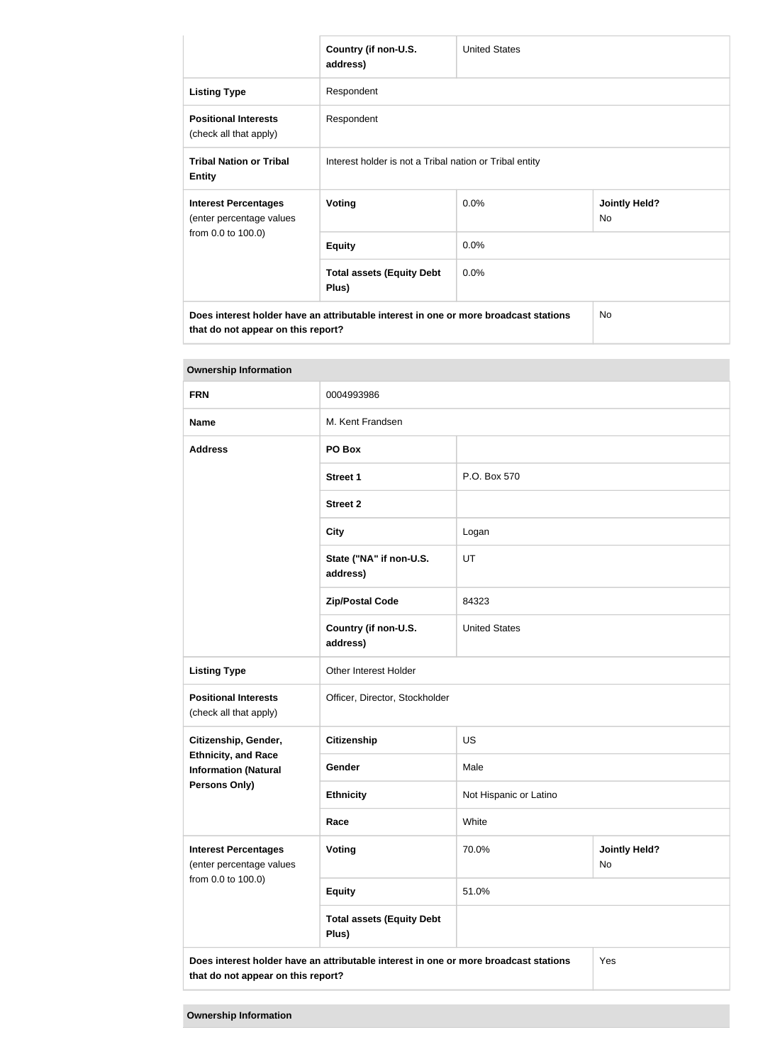|                                                                                      | Country (if non-U.S.<br>address)                        | <b>United States</b> |                            |
|--------------------------------------------------------------------------------------|---------------------------------------------------------|----------------------|----------------------------|
| <b>Listing Type</b>                                                                  | Respondent                                              |                      |                            |
| <b>Positional Interests</b><br>(check all that apply)                                | Respondent                                              |                      |                            |
| <b>Tribal Nation or Tribal</b><br><b>Entity</b>                                      | Interest holder is not a Tribal nation or Tribal entity |                      |                            |
| <b>Interest Percentages</b><br>(enter percentage values<br>from 0.0 to 100.0)        | Voting                                                  | 0.0%                 | <b>Jointly Held?</b><br>No |
|                                                                                      | <b>Equity</b>                                           | 0.0%                 |                            |
|                                                                                      | <b>Total assets (Equity Debt</b><br>Plus)               | 0.0%                 |                            |
| Does interest holder have an attributable interest in one or more broadcast stations |                                                         |                      | <b>No</b>                  |

**that do not appear on this report?**

| <b>Ownership Information</b>                                                                                                      |                                           |                        |                                   |
|-----------------------------------------------------------------------------------------------------------------------------------|-------------------------------------------|------------------------|-----------------------------------|
| <b>FRN</b>                                                                                                                        | 0004993986                                |                        |                                   |
| <b>Name</b>                                                                                                                       | M. Kent Frandsen                          |                        |                                   |
| <b>Address</b>                                                                                                                    | PO Box                                    |                        |                                   |
|                                                                                                                                   | <b>Street 1</b>                           | P.O. Box 570           |                                   |
|                                                                                                                                   | <b>Street 2</b>                           |                        |                                   |
|                                                                                                                                   | <b>City</b>                               | Logan                  |                                   |
|                                                                                                                                   | State ("NA" if non-U.S.<br>address)       | UT                     |                                   |
|                                                                                                                                   | <b>Zip/Postal Code</b>                    | 84323                  |                                   |
|                                                                                                                                   | Country (if non-U.S.<br>address)          | <b>United States</b>   |                                   |
| <b>Listing Type</b>                                                                                                               | Other Interest Holder                     |                        |                                   |
| <b>Positional Interests</b><br>(check all that apply)                                                                             | Officer, Director, Stockholder            |                        |                                   |
| Citizenship, Gender,<br><b>Ethnicity, and Race</b><br><b>Information (Natural</b>                                                 | <b>Citizenship</b>                        | US                     |                                   |
|                                                                                                                                   | Gender                                    | Male                   |                                   |
| <b>Persons Only)</b>                                                                                                              | <b>Ethnicity</b>                          | Not Hispanic or Latino |                                   |
|                                                                                                                                   | Race                                      | White                  |                                   |
| <b>Interest Percentages</b><br>(enter percentage values                                                                           | Voting                                    | 70.0%                  | <b>Jointly Held?</b><br><b>No</b> |
| from 0.0 to 100.0)                                                                                                                | <b>Equity</b>                             | 51.0%                  |                                   |
|                                                                                                                                   | <b>Total assets (Equity Debt</b><br>Plus) |                        |                                   |
| Does interest holder have an attributable interest in one or more broadcast stations<br>Yes<br>that do not appear on this report? |                                           |                        |                                   |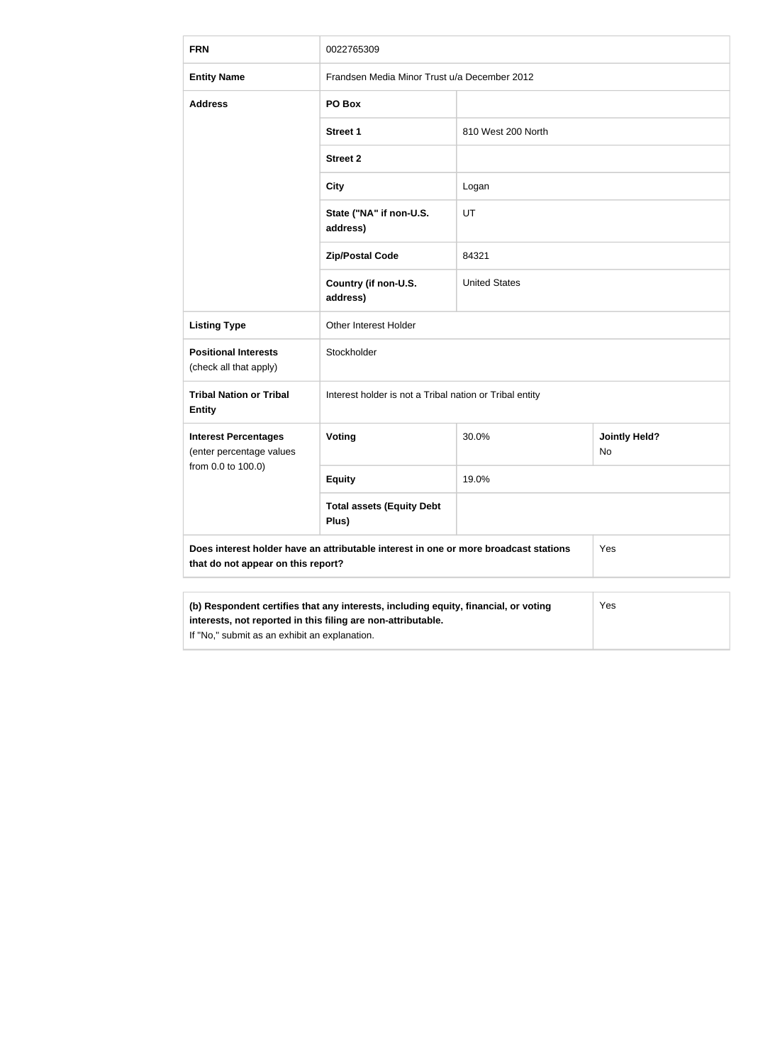| <b>FRN</b>                                                                                                                                                 | 0022765309                                              |                      |                            |
|------------------------------------------------------------------------------------------------------------------------------------------------------------|---------------------------------------------------------|----------------------|----------------------------|
| <b>Entity Name</b>                                                                                                                                         | Frandsen Media Minor Trust u/a December 2012            |                      |                            |
| <b>Address</b>                                                                                                                                             | PO Box                                                  |                      |                            |
|                                                                                                                                                            | <b>Street 1</b>                                         | 810 West 200 North   |                            |
|                                                                                                                                                            | <b>Street 2</b>                                         |                      |                            |
|                                                                                                                                                            | <b>City</b>                                             | Logan                |                            |
|                                                                                                                                                            | State ("NA" if non-U.S.<br>address)                     | UT                   |                            |
|                                                                                                                                                            | <b>Zip/Postal Code</b>                                  | 84321                |                            |
|                                                                                                                                                            | Country (if non-U.S.<br>address)                        | <b>United States</b> |                            |
| <b>Listing Type</b>                                                                                                                                        | Other Interest Holder                                   |                      |                            |
| <b>Positional Interests</b><br>(check all that apply)                                                                                                      | Stockholder                                             |                      |                            |
| <b>Tribal Nation or Tribal</b><br><b>Entity</b>                                                                                                            | Interest holder is not a Tribal nation or Tribal entity |                      |                            |
| <b>Interest Percentages</b><br>(enter percentage values                                                                                                    | <b>Voting</b>                                           | 30.0%                | <b>Jointly Held?</b><br>No |
| from 0.0 to 100.0)                                                                                                                                         | <b>Equity</b>                                           | 19.0%                |                            |
|                                                                                                                                                            | <b>Total assets (Equity Debt</b><br>Plus)               |                      |                            |
| Does interest holder have an attributable interest in one or more broadcast stations<br>Yes<br>that do not appear on this report?                          |                                                         |                      |                            |
|                                                                                                                                                            |                                                         |                      |                            |
| (b) Respondent certifies that any interests, including equity, financial, or voting<br>Yes<br>interests, not reported in this filing are non-attributable. |                                                         |                      |                            |

If "No," submit as an exhibit an explanation.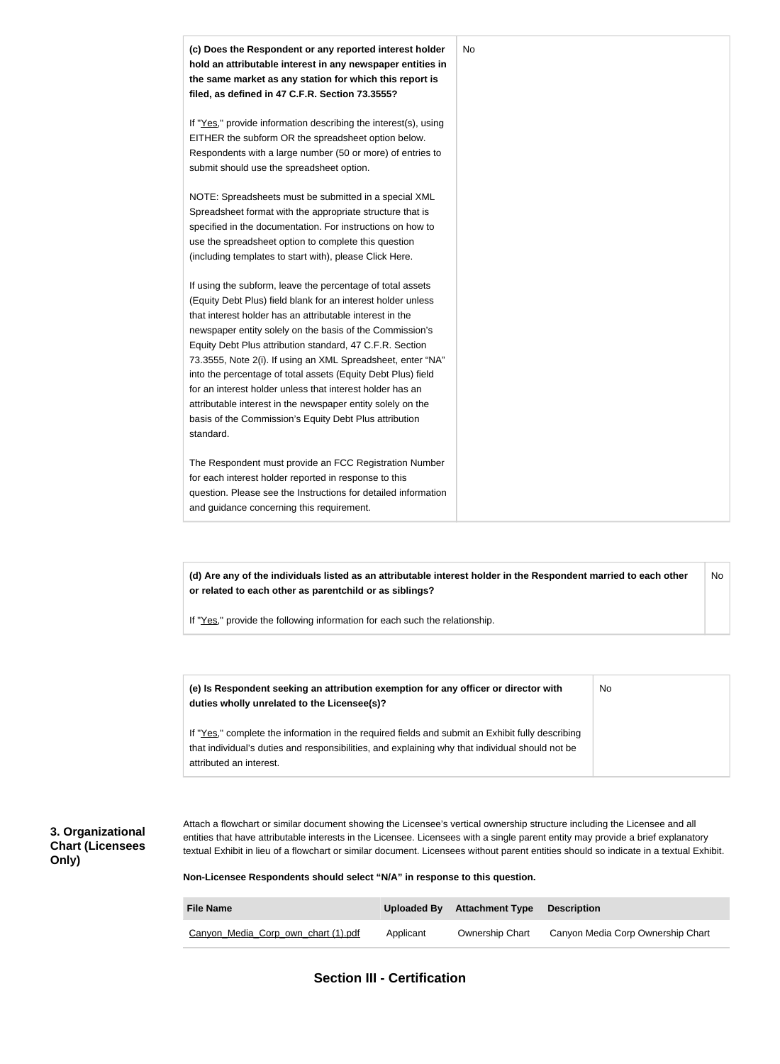

**(d) Are any of the individuals listed as an attributable interest holder in the Respondent married to each other or related to each other as parentchild or as siblings?** No

If "Yes," provide the following information for each such the relationship.

| (e) Is Respondent seeking an attribution exemption for any officer or director with<br>duties wholly unrelated to the Licensee(s)?                                                                                             | No. |
|--------------------------------------------------------------------------------------------------------------------------------------------------------------------------------------------------------------------------------|-----|
| If "Yes," complete the information in the required fields and submit an Exhibit fully describing<br>that individual's duties and responsibilities, and explaining why that individual should not be<br>attributed an interest. |     |

#### **3. Organizational Chart (Licensees Only)**

Attach a flowchart or similar document showing the Licensee's vertical ownership structure including the Licensee and all entities that have attributable interests in the Licensee. Licensees with a single parent entity may provide a brief explanatory textual Exhibit in lieu of a flowchart or similar document. Licensees without parent entities should so indicate in a textual Exhibit.

**Non-Licensee Respondents should select "N/A" in response to this question.**

| <b>File Name</b>                    |           | Uploaded By Attachment Type | <b>Description</b>                |
|-------------------------------------|-----------|-----------------------------|-----------------------------------|
| Canyon Media Corp own chart (1).pdf | Applicant | <b>Ownership Chart</b>      | Canyon Media Corp Ownership Chart |